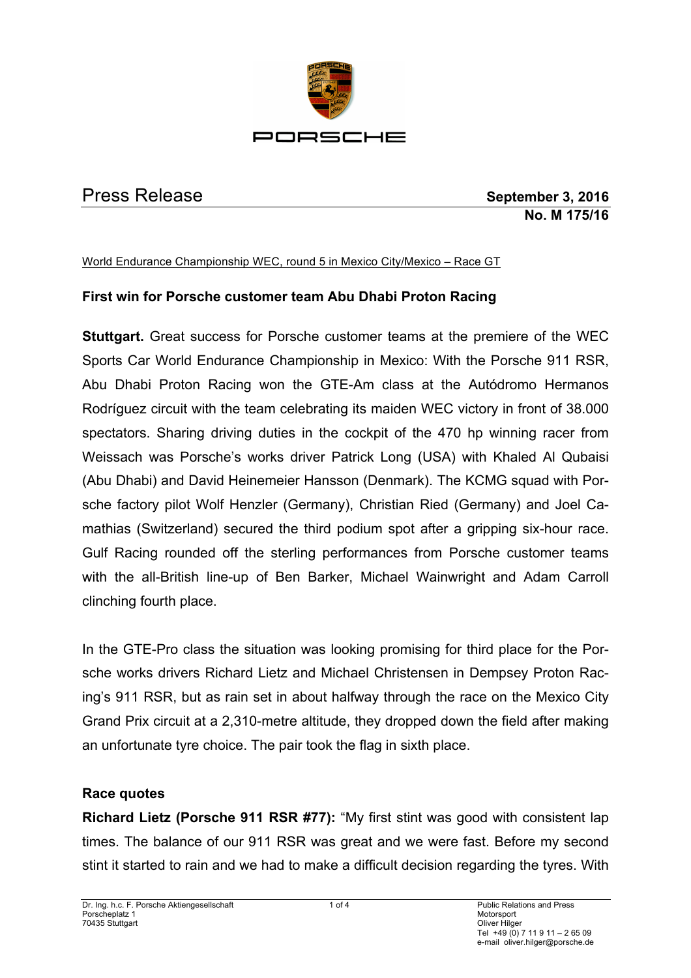

Press Release **September 3, 2016 No. M 175/16**

#### World Endurance Championship WEC, round 5 in Mexico City/Mexico – Race GT

## **First win for Porsche customer team Abu Dhabi Proton Racing**

**Stuttgart.** Great success for Porsche customer teams at the premiere of the WEC Sports Car World Endurance Championship in Mexico: With the Porsche 911 RSR, Abu Dhabi Proton Racing won the GTE-Am class at the Autódromo Hermanos Rodríguez circuit with the team celebrating its maiden WEC victory in front of 38.000 spectators. Sharing driving duties in the cockpit of the 470 hp winning racer from Weissach was Porsche's works driver Patrick Long (USA) with Khaled Al Qubaisi (Abu Dhabi) and David Heinemeier Hansson (Denmark). The KCMG squad with Porsche factory pilot Wolf Henzler (Germany), Christian Ried (Germany) and Joel Camathias (Switzerland) secured the third podium spot after a gripping six-hour race. Gulf Racing rounded off the sterling performances from Porsche customer teams with the all-British line-up of Ben Barker, Michael Wainwright and Adam Carroll clinching fourth place.

In the GTE-Pro class the situation was looking promising for third place for the Porsche works drivers Richard Lietz and Michael Christensen in Dempsey Proton Racing's 911 RSR, but as rain set in about halfway through the race on the Mexico City Grand Prix circuit at a 2,310-metre altitude, they dropped down the field after making an unfortunate tyre choice. The pair took the flag in sixth place.

#### **Race quotes**

**Richard Lietz (Porsche 911 RSR #77):** "My first stint was good with consistent lap times. The balance of our 911 RSR was great and we were fast. Before my second stint it started to rain and we had to make a difficult decision regarding the tyres. With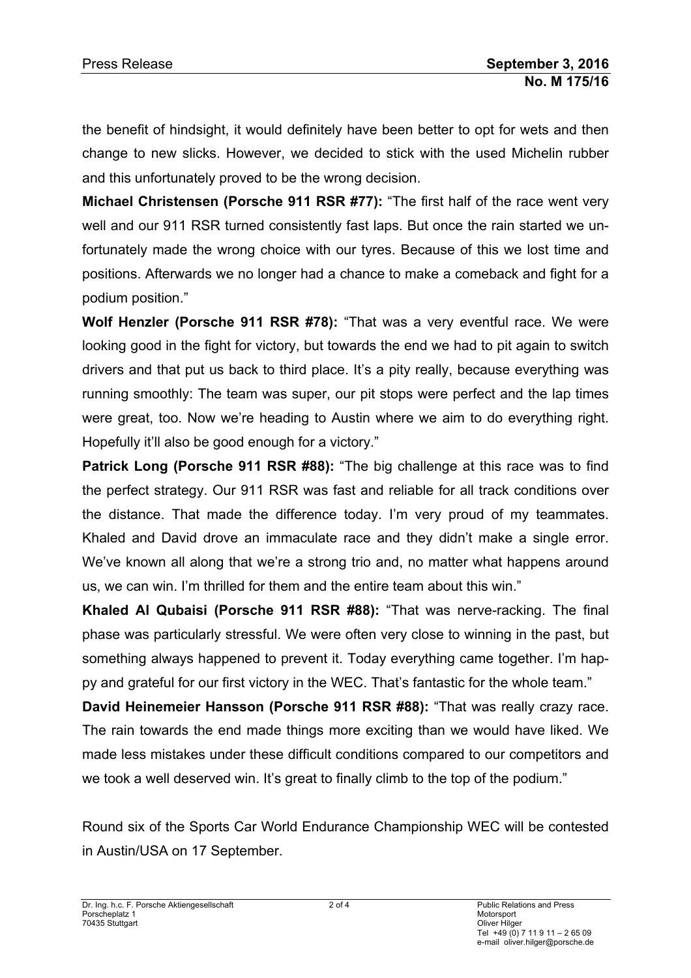the benefit of hindsight, it would definitely have been better to opt for wets and then change to new slicks. However, we decided to stick with the used Michelin rubber and this unfortunately proved to be the wrong decision.

**Michael Christensen (Porsche 911 RSR #77):** "The first half of the race went very well and our 911 RSR turned consistently fast laps. But once the rain started we unfortunately made the wrong choice with our tyres. Because of this we lost time and positions. Afterwards we no longer had a chance to make a comeback and fight for a podium position."

**Wolf Henzler (Porsche 911 RSR #78):** "That was a very eventful race. We were looking good in the fight for victory, but towards the end we had to pit again to switch drivers and that put us back to third place. It's a pity really, because everything was running smoothly: The team was super, our pit stops were perfect and the lap times were great, too. Now we're heading to Austin where we aim to do everything right. Hopefully it'll also be good enough for a victory."

**Patrick Long (Porsche 911 RSR #88):** "The big challenge at this race was to find the perfect strategy. Our 911 RSR was fast and reliable for all track conditions over the distance. That made the difference today. I'm very proud of my teammates. Khaled and David drove an immaculate race and they didn't make a single error. We've known all along that we're a strong trio and, no matter what happens around us, we can win. I'm thrilled for them and the entire team about this win."

**Khaled Al Qubaisi (Porsche 911 RSR #88):** "That was nerve-racking. The final phase was particularly stressful. We were often very close to winning in the past, but something always happened to prevent it. Today everything came together. I'm happy and grateful for our first victory in the WEC. That's fantastic for the whole team."

**David Heinemeier Hansson (Porsche 911 RSR #88):** "That was really crazy race. The rain towards the end made things more exciting than we would have liked. We made less mistakes under these difficult conditions compared to our competitors and we took a well deserved win. It's great to finally climb to the top of the podium."

Round six of the Sports Car World Endurance Championship WEC will be contested in Austin/USA on 17 September.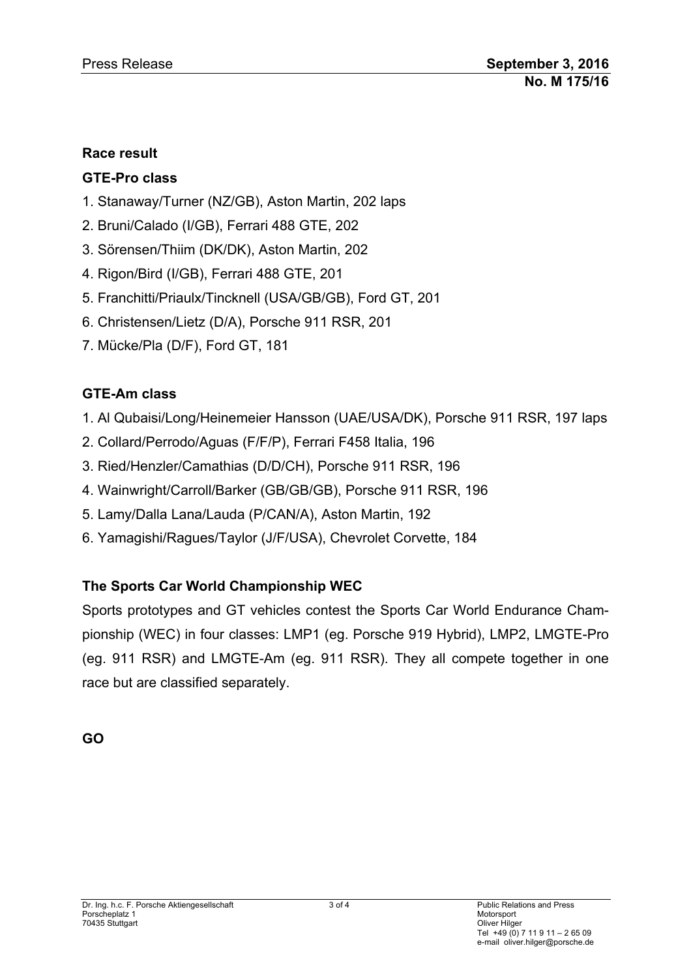### **Race result**

## **GTE-Pro class**

- 1. Stanaway/Turner (NZ/GB), Aston Martin, 202 laps
- 2. Bruni/Calado (I/GB), Ferrari 488 GTE, 202
- 3. Sörensen/Thiim (DK/DK), Aston Martin, 202
- 4. Rigon/Bird (I/GB), Ferrari 488 GTE, 201
- 5. Franchitti/Priaulx/Tincknell (USA/GB/GB), Ford GT, 201
- 6. Christensen/Lietz (D/A), Porsche 911 RSR, 201
- 7. Mücke/Pla (D/F), Ford GT, 181

## **GTE-Am class**

- 1. Al Qubaisi/Long/Heinemeier Hansson (UAE/USA/DK), Porsche 911 RSR, 197 laps
- 2. Collard/Perrodo/Aguas (F/F/P), Ferrari F458 Italia, 196
- 3. Ried/Henzler/Camathias (D/D/CH), Porsche 911 RSR, 196
- 4. Wainwright/Carroll/Barker (GB/GB/GB), Porsche 911 RSR, 196
- 5. Lamy/Dalla Lana/Lauda (P/CAN/A), Aston Martin, 192
- 6. Yamagishi/Ragues/Taylor (J/F/USA), Chevrolet Corvette, 184

# **The Sports Car World Championship WEC**

Sports prototypes and GT vehicles contest the Sports Car World Endurance Championship (WEC) in four classes: LMP1 (eg. Porsche 919 Hybrid), LMP2, LMGTE-Pro (eg. 911 RSR) and LMGTE-Am (eg. 911 RSR). They all compete together in one race but are classified separately.

**GO**